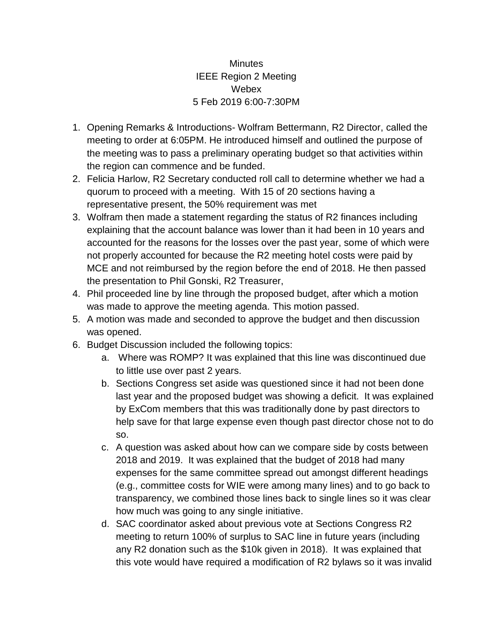## **Minutes** IEEE Region 2 Meeting **Webex** 5 Feb 2019 6:00-7:30PM

- 1. Opening Remarks & Introductions- Wolfram Bettermann, R2 Director, called the meeting to order at 6:05PM. He introduced himself and outlined the purpose of the meeting was to pass a preliminary operating budget so that activities within the region can commence and be funded.
- 2. Felicia Harlow, R2 Secretary conducted roll call to determine whether we had a quorum to proceed with a meeting. With 15 of 20 sections having a representative present, the 50% requirement was met
- 3. Wolfram then made a statement regarding the status of R2 finances including explaining that the account balance was lower than it had been in 10 years and accounted for the reasons for the losses over the past year, some of which were not properly accounted for because the R2 meeting hotel costs were paid by MCE and not reimbursed by the region before the end of 2018. He then passed the presentation to Phil Gonski, R2 Treasurer,
- 4. Phil proceeded line by line through the proposed budget, after which a motion was made to approve the meeting agenda. This motion passed.
- 5. A motion was made and seconded to approve the budget and then discussion was opened.
- 6. Budget Discussion included the following topics:
	- a. Where was ROMP? It was explained that this line was discontinued due to little use over past 2 years.
	- b. Sections Congress set aside was questioned since it had not been done last year and the proposed budget was showing a deficit. It was explained by ExCom members that this was traditionally done by past directors to help save for that large expense even though past director chose not to do so.
	- c. A question was asked about how can we compare side by costs between 2018 and 2019. It was explained that the budget of 2018 had many expenses for the same committee spread out amongst different headings (e.g., committee costs for WIE were among many lines) and to go back to transparency, we combined those lines back to single lines so it was clear how much was going to any single initiative.
	- d. SAC coordinator asked about previous vote at Sections Congress R2 meeting to return 100% of surplus to SAC line in future years (including any R2 donation such as the \$10k given in 2018). It was explained that this vote would have required a modification of R2 bylaws so it was invalid